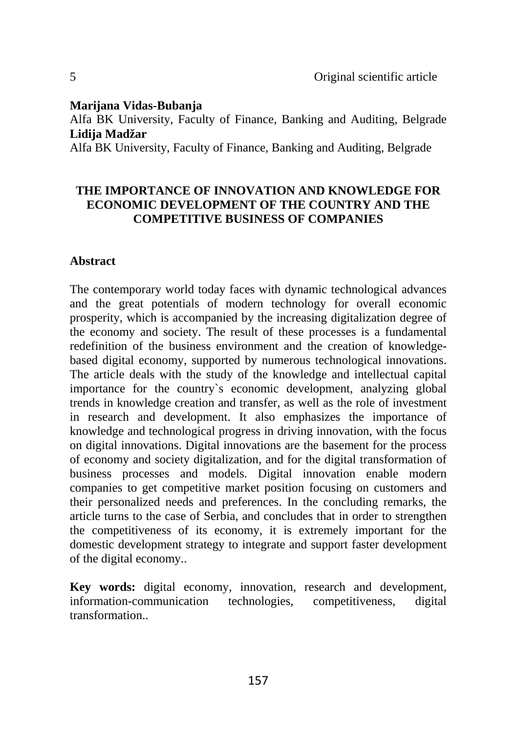#### **Marijana Vidas-Bubanja**

Alfa BK University, Faculty of Finance, Banking and Auditing, Belgrade **Lidija Madžar**

Alfa BK University, Faculty of Finance, Banking and Auditing, Belgrade

### **THE IMPORTANCE OF INNOVATION AND KNOWLEDGE FOR ECONOMIC DEVELOPMENT OF THE COUNTRY AND THE COMPETITIVE BUSINESS OF COMPANIES**

### **Abstract**

The contemporary world today faces with dynamic technological advances and the great potentials of modern technology for overall economic prosperity, which is accompanied by the increasing digitalization degree of the economy and society. The result of these processes is a fundamental redefinition of the business environment and the creation of knowledgebased digital economy, supported by numerous technological innovations. The article deals with the study of the knowledge and intellectual capital importance for the country`s economic development, analyzing global trends in knowledge creation and transfer, as well as the role of investment in research and development. It also emphasizes the importance of knowledge and technological progress in driving innovation, with the focus on digital innovations. Digital innovations are the basement for the process of economy and society digitalization, and for the digital transformation of business processes and models. Digital innovation enable modern companies to get competitive market position focusing on customers and their personalized needs and preferences. In the concluding remarks, the article turns to the case of Serbia, and concludes that in order to strengthen the competitiveness of its economy, it is extremely important for the domestic development strategy to integrate and support faster development of the digital economy..

**Key words:** digital economy, innovation, research and development, information-communication technologies, competitiveness, digital transformation..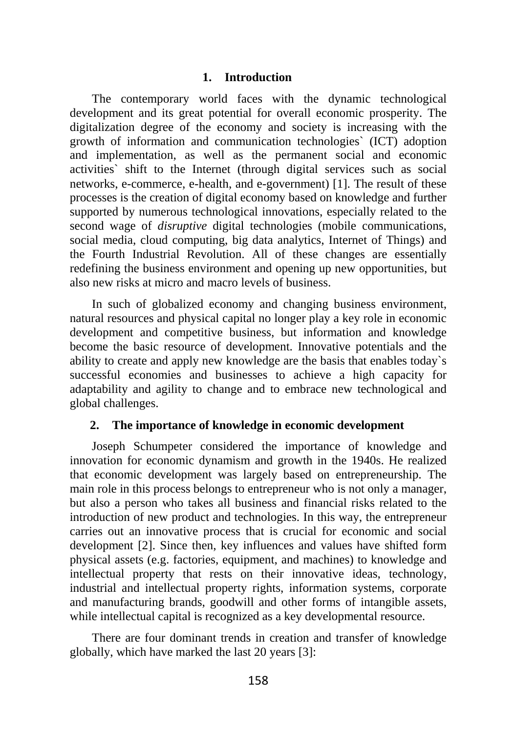### **1. Introduction**

The contemporary world faces with the dynamic technological development and its great potential for overall economic prosperity. The digitalization degree of the economy and society is increasing with the growth of information and communication technologies` (ICT) adoption and implementation, as well as the permanent social and economic activities` shift to the Internet (through digital services such as social networks, e-commerce, e-health, and e-government) [1]. The result of these processes is the creation of digital economy based on knowledge and further supported by numerous technological innovations, especially related to the second wage of *disruptive* digital technologies (mobile communications, social media, cloud computing, big data analytics, Internet of Things) and the Fourth Industrial Revolution. All of these changes are essentially redefining the business environment and opening up new opportunities, but also new risks at micro and macro levels of business.

In such of globalized economy and changing business environment, natural resources and physical capital no longer play a key role in economic development and competitive business, but information and knowledge become the basic resource of development. Innovative potentials and the ability to create and apply new knowledge are the basis that enables today`s successful economies and businesses to achieve a high capacity for adaptability and agility to change and to embrace new technological and global challenges.

#### **2. The importance of knowledge in economic development**

Joseph Schumpeter considered the importance of knowledge and innovation for economic dynamism and growth in the 1940s. He realized that economic development was largely based on entrepreneurship. The main role in this process belongs to entrepreneur who is not only a manager, but also a person who takes all business and financial risks related to the introduction of new product and technologies. In this way, the entrepreneur carries out an innovative process that is crucial for economic and social development [2]. Since then, key influences and values have shifted form physical assets (e.g. factories, equipment, and machines) to knowledge and intellectual property that rests on their innovative ideas, technology, industrial and intellectual property rights, information systems, corporate and manufacturing brands, goodwill and other forms of intangible assets, while intellectual capital is recognized as a key developmental resource.

There are four dominant trends in creation and transfer of knowledge globally, which have marked the last 20 years [3]: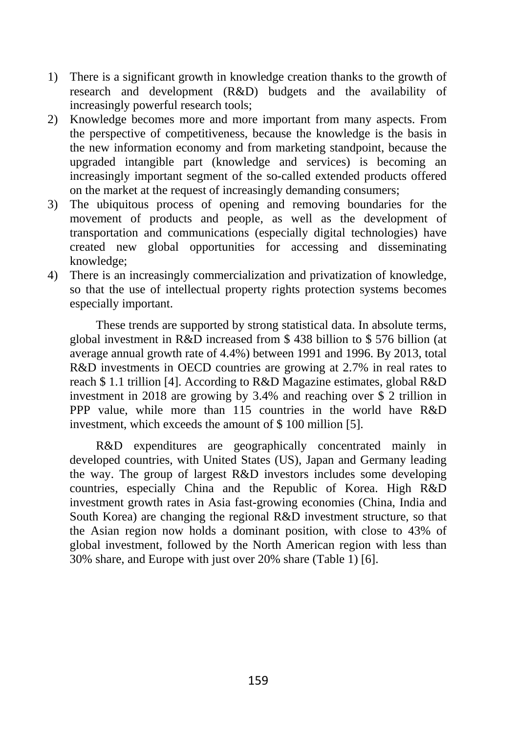- 1) There is a significant growth in knowledge creation thanks to the growth of research and development (R&D) budgets and the availability of increasingly powerful research tools;
- 2) Knowledge becomes more and more important from many aspects. From the perspective of competitiveness, because the knowledge is the basis in the new information economy and from marketing standpoint, because the upgraded intangible part (knowledge and services) is becoming an increasingly important segment of the so-called extended products offered on the market at the request of increasingly demanding consumers;
- 3) The ubiquitous process of opening and removing boundaries for the movement of products and people, as well as the development of transportation and communications (especially digital technologies) have created new global opportunities for accessing and disseminating knowledge;
- 4) There is an increasingly commercialization and privatization of knowledge, so that the use of intellectual property rights protection systems becomes especially important.

These trends are supported by strong statistical data. In absolute terms, global investment in R&D increased from \$ 438 billion to \$ 576 billion (at average annual growth rate of 4.4%) between 1991 and 1996. By 2013, total R&D investments in OECD countries are growing at 2.7% in real rates to reach \$ 1.1 trillion [4]. According to R&D Magazine estimates, global R&D investment in 2018 are growing by 3.4% and reaching over \$ 2 trillion in PPP value, while more than 115 countries in the world have R&D investment, which exceeds the amount of \$ 100 million [5].

R&D expenditures are geographically concentrated mainly in developed countries, with United States (US), Japan and Germany leading the way. The group of largest R&D investors includes some developing countries, especially China and the Republic of Korea. High R&D investment growth rates in Asia fast-growing economies (China, India and South Korea) are changing the regional R&D investment structure, so that the Asian region now holds a dominant position, with close to 43% of global investment, followed by the North American region with less than 30% share, and Europe with just over 20% share (Table 1) [6].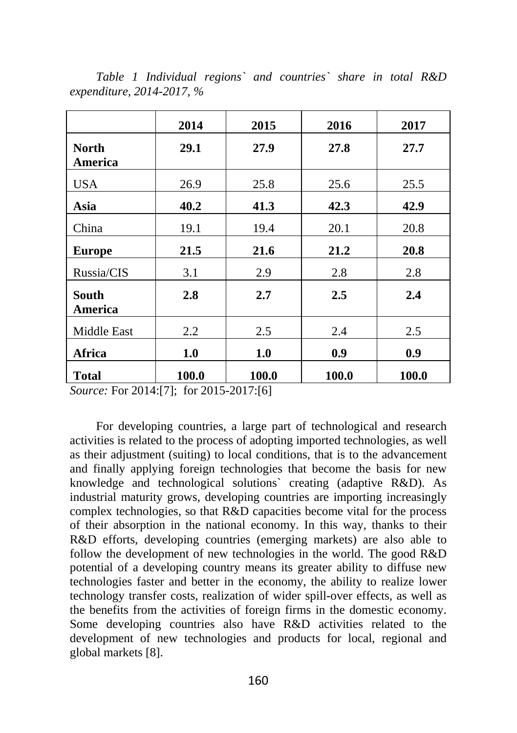|                         | 2014  | 2015  | 2016  | 2017  |
|-------------------------|-------|-------|-------|-------|
| <b>North</b><br>America | 29.1  | 27.9  | 27.8  | 27.7  |
| <b>USA</b>              | 26.9  | 25.8  | 25.6  | 25.5  |
| Asia                    | 40.2  | 41.3  | 42.3  | 42.9  |
| China                   | 19.1  | 19.4  | 20.1  | 20.8  |
| <b>Europe</b>           | 21.5  | 21.6  | 21.2  | 20.8  |
| Russia/CIS              | 3.1   | 2.9   | 2.8   | 2.8   |
| <b>South</b><br>America | 2.8   | 2.7   | 2.5   | 2.4   |
| <b>Middle East</b>      | 2.2   | 2.5   | 2.4   | 2.5   |
| Africa                  | 1.0   | 1.0   | 0.9   | 0.9   |
| <b>Total</b>            | 100.0 | 100.0 | 100.0 | 100.0 |

*Table 1 Individual regions` and countries` share in total R&D expenditure, 2014-2017, %*

*Source:* For 2014:[7]; for 2015-2017:[6]

For developing countries, a large part of technological and research activities is related to the process of adopting imported technologies, as well as their adjustment (suiting) to local conditions, that is to the advancement and finally applying foreign technologies that become the basis for new knowledge and technological solutions` creating (adaptive R&D). As industrial maturity grows, developing countries are importing increasingly complex technologies, so that R&D capacities become vital for the process of their absorption in the national economy. In this way, thanks to their R&D efforts, developing countries (emerging markets) are also able to follow the development of new technologies in the world. The good R&D potential of a developing country means its greater ability to diffuse new technologies faster and better in the economy, the ability to realize lower technology transfer costs, realization of wider spill-over effects, as well as the benefits from the activities of foreign firms in the domestic economy. Some developing countries also have R&D activities related to the development of new technologies and products for local, regional and global markets [8].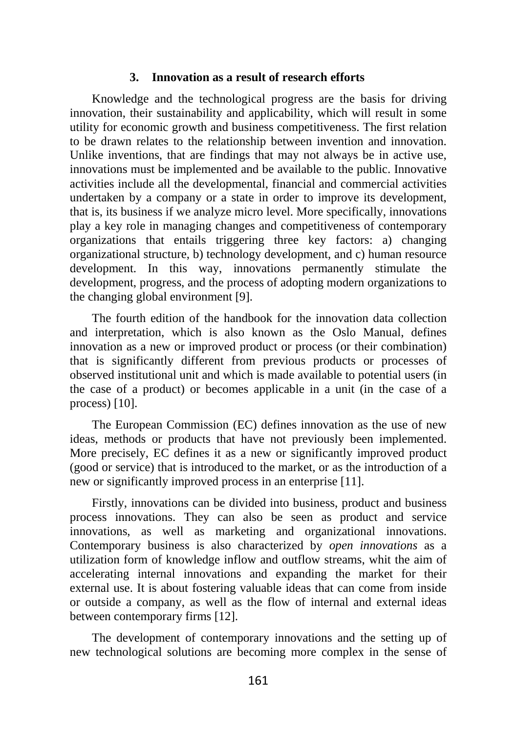#### **3. Innovation as a result of research efforts**

Knowledge and the technological progress are the basis for driving innovation, their sustainability and applicability, which will result in some utility for economic growth and business competitiveness. The first relation to be drawn relates to the relationship between invention and innovation. Unlike inventions, that are findings that may not always be in active use, innovations must be implemented and be available to the public. Innovative activities include all the developmental, financial and commercial activities undertaken by a company or a state in order to improve its development, that is, its business if we analyze micro level. More specifically, innovations play a key role in managing changes and competitiveness of contemporary organizations that entails triggering three key factors: a) changing organizational structure, b) technology development, and c) human resource development. In this way, innovations permanently stimulate the development, progress, and the process of adopting modern organizations to the changing global environment [9].

The fourth edition of the handbook for the innovation data collection and interpretation, which is also known as the Oslo Manual, defines innovation as a new or improved product or process (or their combination) that is significantly different from previous products or processes of observed institutional unit and which is made available to potential users (in the case of a product) or becomes applicable in a unit (in the case of a process) [10].

The European Commission (EC) defines innovation as the use of new ideas, methods or products that have not previously been implemented. More precisely, EC defines it as a new or significantly improved product (good or service) that is introduced to the market, or as the introduction of a new or significantly improved process in an enterprise [11].

Firstly, innovations can be divided into business, product and business process innovations. They can also be seen as product and service innovations, as well as marketing and organizational innovations. Contemporary business is also characterized by *open innovations* as a utilization form of knowledge inflow and outflow streams, whit the aim of accelerating internal innovations and expanding the market for their external use. It is about fostering valuable ideas that can come from inside or outside a company, as well as the flow of internal and external ideas between contemporary firms [12].

The development of contemporary innovations and the setting up of new technological solutions are becoming more complex in the sense of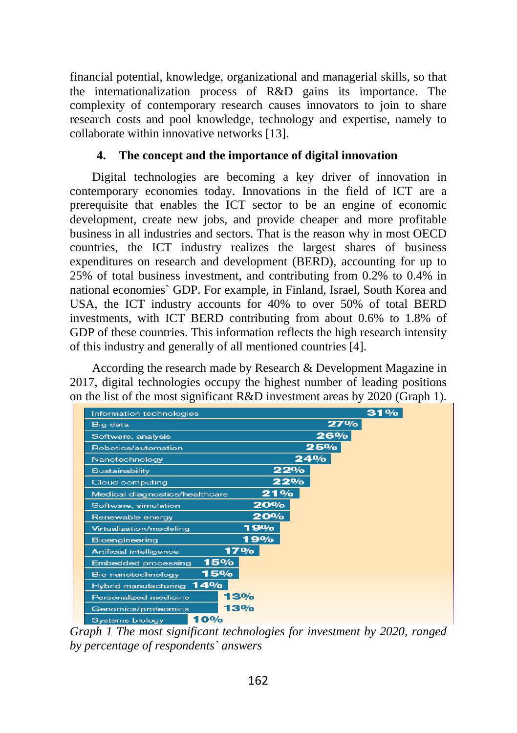financial potential, knowledge, organizational and managerial skills, so that the internationalization process of R&D gains its importance. The complexity of contemporary research causes innovators to join to share research costs and pool knowledge, technology and expertise, namely to collaborate within innovative networks [13].

### **4. The concept and the importance of digital innovation**

Digital technologies are becoming a key driver of innovation in contemporary economies today. Innovations in the field of ICT are a prerequisite that enables the ICT sector to be an engine of economic development, create new jobs, and provide cheaper and more profitable business in all industries and sectors. That is the reason why in most OECD countries, the ICT industry realizes the largest shares of business expenditures on research and development (BERD), accounting for up to 25% of total business investment, and contributing from 0.2% to 0.4% in national economies` GDP. For example, in Finland, Israel, South Korea and USA, the ICT industry accounts for 40% to over 50% of total BERD investments, with ICT BERD contributing from about 0.6% to 1.8% of GDP of these countries. This information reflects the high research intensity of this industry and generally of all mentioned countries [4].

According the research made by Research & Development Magazine in 2017, digital technologies occupy the highest number of leading positions on the list of the most significant R&D investment areas by 2020 (Graph 1).

| Information technologies          | 31% |
|-----------------------------------|-----|
| <b>Big data</b>                   | 27% |
| Software, analysis                | 26% |
| Robotics/automation               | 25% |
| Nanotechnology                    | 24% |
| Sustainability                    | 22% |
| Cloud computing                   | 22% |
| Medical diagnostics/healthcare    | 21% |
| Software, simulation              | 20% |
| Renewable energy                  | 20% |
| Virtualization/modeling           | 19% |
| <b>Bioengineering</b>             | 19% |
| Artificial intelligence           | 17% |
| 15%<br><b>Embedded processing</b> |     |
| 15%<br>Bio-nanotechnology         |     |
| 14%<br>Hybrid manufacturing       |     |
| Personalized medicine             | 13% |
| Genomics/proteomics               | 13% |
| 10%<br>Systems biology            |     |

*Graph 1 The most significant technologies for investment by 2020, ranged by percentage of respondents` answers*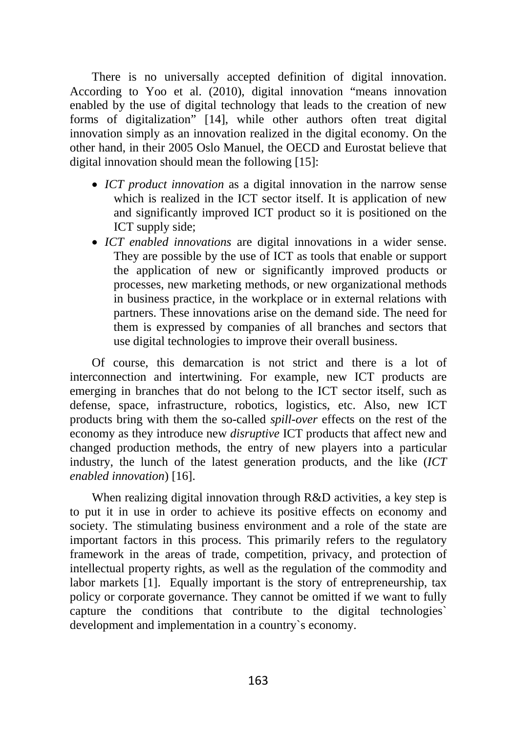There is no universally accepted definition of digital innovation. According to Yoo et al. (2010), digital innovation "means innovation enabled by the use of digital technology that leads to the creation of new forms of digitalization" [14], while other authors often treat digital innovation simply as an innovation realized in the digital economy. On the other hand, in their 2005 Oslo Manuel, the OECD and Eurostat believe that digital innovation should mean the following [15]:

- *ICT product innovation* as a digital innovation in the narrow sense which is realized in the ICT sector itself. It is application of new and significantly improved ICT product so it is positioned on the ICT supply side;
- *ICT enabled innovations* are digital innovations in a wider sense. They are possible by the use of ICT as tools that enable or support the application of new or significantly improved products or processes, new marketing methods, or new organizational methods in business practice, in the workplace or in external relations with partners. These innovations arise on the demand side. The need for them is expressed by companies of all branches and sectors that use digital technologies to improve their overall business.

Of course, this demarcation is not strict and there is a lot of interconnection and intertwining. For example, new ICT products are emerging in branches that do not belong to the ICT sector itself, such as defense, space, infrastructure, robotics, logistics, etc. Also, new ICT products bring with them the so-called *spill-over* effects on the rest of the economy as they introduce new *disruptive* ICT products that affect new and changed production methods, the entry of new players into a particular industry, the lunch of the latest generation products, and the like (*ICT enabled innovation*) [16].

When realizing digital innovation through R&D activities, a key step is to put it in use in order to achieve its positive effects on economy and society. The stimulating business environment and a role of the state are important factors in this process. This primarily refers to the regulatory framework in the areas of trade, competition, privacy, and protection of intellectual property rights, as well as the regulation of the commodity and labor markets [1]. Equally important is the story of entrepreneurship, tax policy or corporate governance. They cannot be omitted if we want to fully capture the conditions that contribute to the digital technologies` development and implementation in a country`s economy.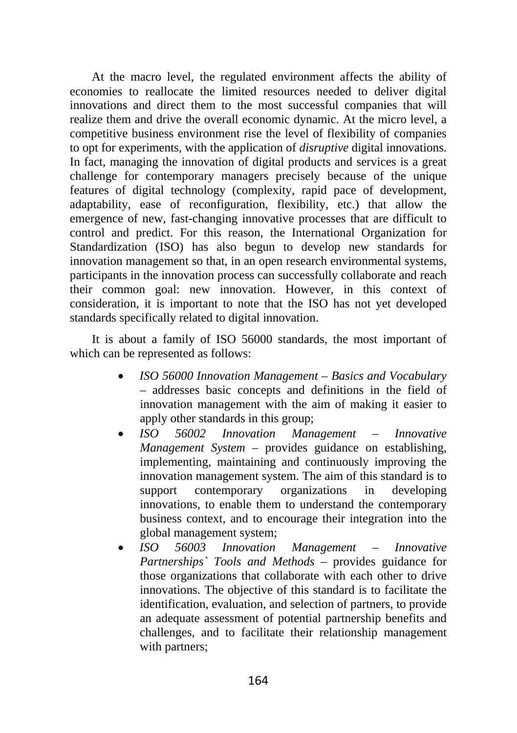At the macro level, the regulated environment affects the ability of economies to reallocate the limited resources needed to deliver digital innovations and direct them to the most successful companies that will realize them and drive the overall economic dynamic. At the micro level, a competitive business environment rise the level of flexibility of companies to opt for experiments, with the application of *disruptive* digital innovations. In fact, managing the innovation of digital products and services is a great challenge for contemporary managers precisely because of the unique features of digital technology (complexity, rapid pace of development, adaptability, ease of reconfiguration, flexibility, etc.) that allow the emergence of new, fast-changing innovative processes that are difficult to control and predict. For this reason, the International Organization for Standardization (ISO) has also begun to develop new standards for innovation management so that, in an open research environmental systems, participants in the innovation process can successfully collaborate and reach their common goal: new innovation. However, in this context of consideration, it is important to note that the ISO has not yet developed standards specifically related to digital innovation.

It is about a family of ISO 56000 standards, the most important of which can be represented as follows:

- *ISO 56000 Innovation Management – Basics and Vocabulary* – addresses basic concepts and definitions in the field of innovation management with the aim of making it easier to apply other standards in this group;
- *ISO 56002 Innovation Management – Innovative Management System* – provides guidance on establishing, implementing, maintaining and continuously improving the innovation management system. The aim of this standard is to support contemporary organizations in developing innovations, to enable them to understand the contemporary business context, and to encourage their integration into the global management system;
- *ISO 56003 Innovation Management – Innovative Partnerships` Tools and Methods* – provides guidance for those organizations that collaborate with each other to drive innovations. The objective of this standard is to facilitate the identification, evaluation, and selection of partners, to provide an adequate assessment of potential partnership benefits and challenges, and to facilitate their relationship management with partners: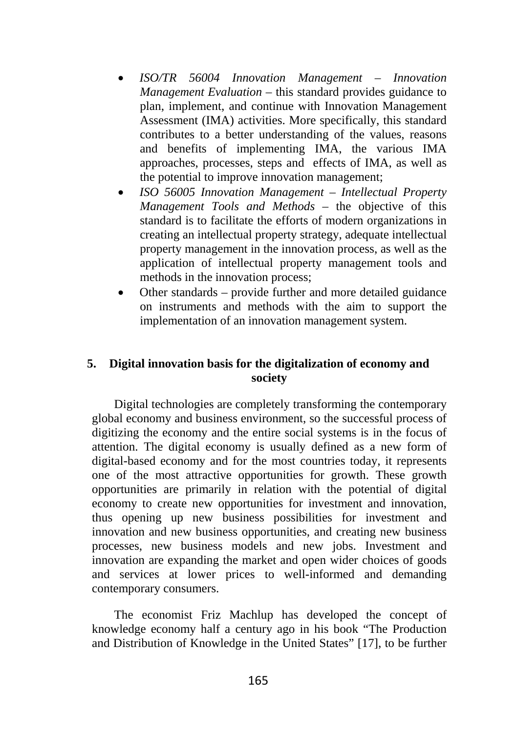- *ISO/TR 56004 Innovation Management – Innovation Management Evaluation* – this standard provides guidance to plan, implement, and continue with Innovation Management Assessment (IMA) activities. More specifically, this standard contributes to a better understanding of the values, reasons and benefits of implementing IMA, the various IMA approaches, processes, steps and effects of IMA, as well as the potential to improve innovation management;
- *ISO 56005 Innovation Management – Intellectual Property Management Tools and Methods* – the objective of this standard is to facilitate the efforts of modern organizations in creating an intellectual property strategy, adequate intellectual property management in the innovation process, as well as the application of intellectual property management tools and methods in the innovation process;
- Other standards provide further and more detailed guidance on instruments and methods with the aim to support the implementation of an innovation management system.

### **5. Digital innovation basis for the digitalization of economy and society**

Digital technologies are completely transforming the contemporary global economy and business environment, so the successful process of digitizing the economy and the entire social systems is in the focus of attention. The digital economy is usually defined as a new form of digital-based economy and for the most countries today, it represents one of the most attractive opportunities for growth. These growth opportunities are primarily in relation with the potential of digital economy to create new opportunities for investment and innovation, thus opening up new business possibilities for investment and innovation and new business opportunities, and creating new business processes, new business models and new jobs. Investment and innovation are expanding the market and open wider choices of goods and services at lower prices to well-informed and demanding contemporary consumers.

The economist Friz Machlup has developed the concept of knowledge economy half a century ago in his book "The Production and Distribution of Knowledge in the United States" [17], to be further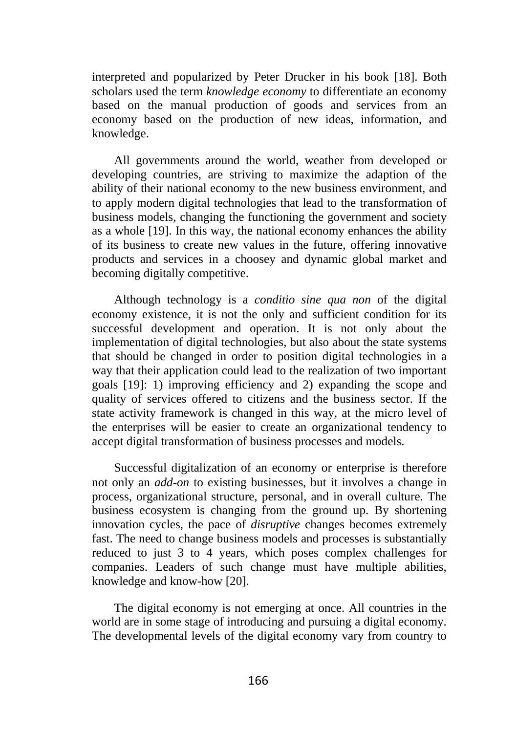interpreted and popularized by Peter Drucker in his book [18]. Both scholars used the term *knowledge economy* to differentiate an economy based on the manual production of goods and services from an economy based on the production of new ideas, information, and knowledge.

All governments around the world, weather from developed or developing countries, are striving to maximize the adaption of the ability of their national economy to the new business environment, and to apply modern digital technologies that lead to the transformation of business models, changing the functioning the government and society as a whole [19]. In this way, the national economy enhances the ability of its business to create new values in the future, offering innovative products and services in a choosey and dynamic global market and becoming digitally competitive.

Although technology is a *conditio sine qua non* of the digital economy existence, it is not the only and sufficient condition for its successful development and operation. It is not only about the implementation of digital technologies, but also about the state systems that should be changed in order to position digital technologies in a way that their application could lead to the realization of two important goals [19]: 1) improving efficiency and 2) expanding the scope and quality of services offered to citizens and the business sector. If the state activity framework is changed in this way, at the micro level of the enterprises will be easier to create an organizational tendency to accept digital transformation of business processes and models.

Successful digitalization of an economy or enterprise is therefore not only an *add-on* to existing businesses, but it involves a change in process, organizational structure, personal, and in overall culture. The business ecosystem is changing from the ground up. By shortening innovation cycles, the pace of *disruptive* changes becomes extremely fast. The need to change business models and processes is substantially reduced to just 3 to 4 years, which poses complex challenges for companies. Leaders of such change must have multiple abilities, knowledge and know-how [20].

The digital economy is not emerging at once. All countries in the world are in some stage of introducing and pursuing a digital economy. The developmental levels of the digital economy vary from country to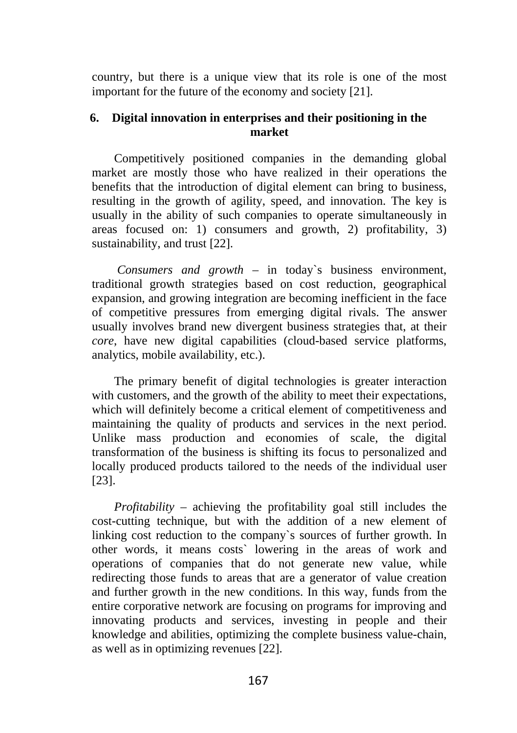country, but there is a unique view that its role is one of the most important for the future of the economy and society [21].

### **6. Digital innovation in enterprises and their positioning in the market**

Competitively positioned companies in the demanding global market are mostly those who have realized in their operations the benefits that the introduction of digital element can bring to business, resulting in the growth of agility, speed, and innovation. The key is usually in the ability of such companies to operate simultaneously in areas focused on: 1) consumers and growth, 2) profitability, 3) sustainability, and trust [22].

*Consumers and growth* – in today`s business environment, traditional growth strategies based on cost reduction, geographical expansion, and growing integration are becoming inefficient in the face of competitive pressures from emerging digital rivals. The answer usually involves brand new divergent business strategies that, at their *core*, have new digital capabilities (cloud-based service platforms, analytics, mobile availability, etc.).

The primary benefit of digital technologies is greater interaction with customers, and the growth of the ability to meet their expectations, which will definitely become a critical element of competitiveness and maintaining the quality of products and services in the next period. Unlike mass production and economies of scale, the digital transformation of the business is shifting its focus to personalized and locally produced products tailored to the needs of the individual user [23].

*Profitability* – achieving the profitability goal still includes the cost-cutting technique, but with the addition of a new element of linking cost reduction to the company`s sources of further growth. In other words, it means costs` lowering in the areas of work and operations of companies that do not generate new value, while redirecting those funds to areas that are a generator of value creation and further growth in the new conditions. In this way, funds from the entire corporative network are focusing on programs for improving and innovating products and services, investing in people and their knowledge and abilities, optimizing the complete business value-chain, as well as in optimizing revenues [22].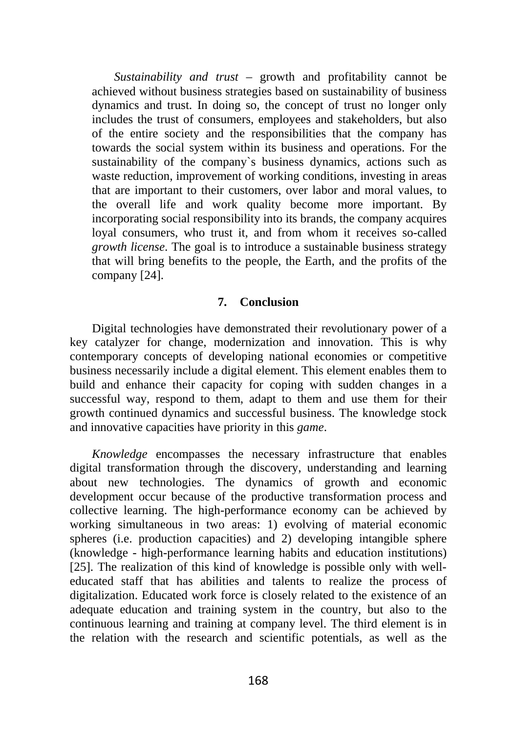*Sustainability and trust* – growth and profitability cannot be achieved without business strategies based on sustainability of business dynamics and trust. In doing so, the concept of trust no longer only includes the trust of consumers, employees and stakeholders, but also of the entire society and the responsibilities that the company has towards the social system within its business and operations. For the sustainability of the company`s business dynamics, actions such as waste reduction, improvement of working conditions, investing in areas that are important to their customers, over labor and moral values, to the overall life and work quality become more important. By incorporating social responsibility into its brands, the company acquires loyal consumers, who trust it, and from whom it receives so-called *growth license*. The goal is to introduce a sustainable business strategy that will bring benefits to the people, the Earth, and the profits of the company [24].

#### **7. Conclusion**

Digital technologies have demonstrated their revolutionary power of a key catalyzer for change, modernization and innovation. This is why contemporary concepts of developing national economies or competitive business necessarily include a digital element. This element enables them to build and enhance their capacity for coping with sudden changes in a successful way, respond to them, adapt to them and use them for their growth continued dynamics and successful business. The knowledge stock and innovative capacities have priority in this *game*.

*Knowledge* encompasses the necessary infrastructure that enables digital transformation through the discovery, understanding and learning about new technologies. The dynamics of growth and economic development occur because of the productive transformation process and collective learning. The high-performance economy can be achieved by working simultaneous in two areas: 1) evolving of material economic spheres (i.e. production capacities) and 2) developing intangible sphere (knowledge - high-performance learning habits and education institutions) [25]. The realization of this kind of knowledge is possible only with welleducated staff that has abilities and talents to realize the process of digitalization. Educated work force is closely related to the existence of an adequate education and training system in the country, but also to the continuous learning and training at company level. The third element is in the relation with the research and scientific potentials, as well as the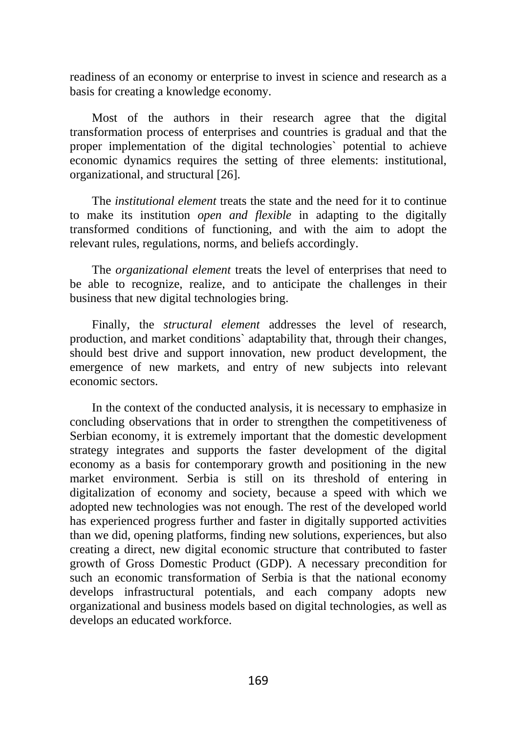readiness of an economy or enterprise to invest in science and research as a basis for creating a knowledge economy.

Most of the authors in their research agree that the digital transformation process of enterprises and countries is gradual and that the proper implementation of the digital technologies` potential to achieve economic dynamics requires the setting of three elements: institutional, organizational, and structural [26].

The *institutional element* treats the state and the need for it to continue to make its institution *open and flexible* in adapting to the digitally transformed conditions of functioning, and with the aim to adopt the relevant rules, regulations, norms, and beliefs accordingly.

The *organizational element* treats the level of enterprises that need to be able to recognize, realize, and to anticipate the challenges in their business that new digital technologies bring.

Finally, the *structural element* addresses the level of research, production, and market conditions` adaptability that, through their changes, should best drive and support innovation, new product development, the emergence of new markets, and entry of new subjects into relevant economic sectors.

In the context of the conducted analysis, it is necessary to emphasize in concluding observations that in order to strengthen the competitiveness of Serbian economy, it is extremely important that the domestic development strategy integrates and supports the faster development of the digital economy as a basis for contemporary growth and positioning in the new market environment. Serbia is still on its threshold of entering in digitalization of economy and society, because a speed with which we adopted new technologies was not enough. The rest of the developed world has experienced progress further and faster in digitally supported activities than we did, opening platforms, finding new solutions, experiences, but also creating a direct, new digital economic structure that contributed to faster growth of Gross Domestic Product (GDP). A necessary precondition for such an economic transformation of Serbia is that the national economy develops infrastructural potentials, and each company adopts new organizational and business models based on digital technologies, as well as develops an educated workforce.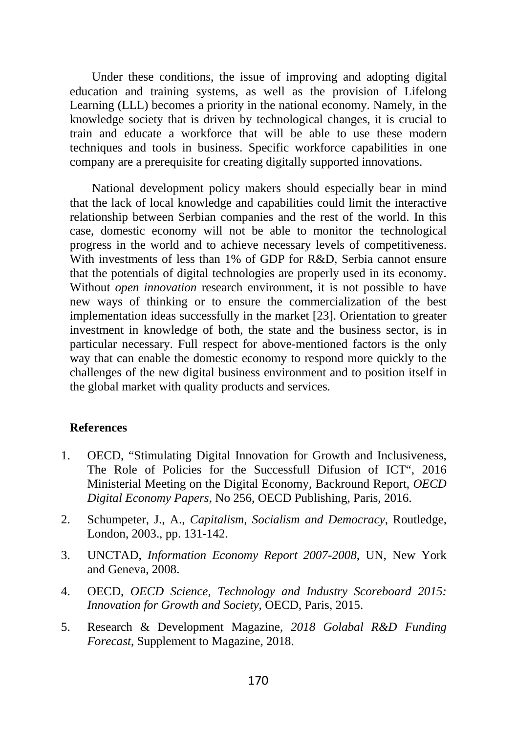Under these conditions, the issue of improving and adopting digital education and training systems, as well as the provision of Lifelong Learning (LLL) becomes a priority in the national economy. Namely, in the knowledge society that is driven by technological changes, it is crucial to train and educate a workforce that will be able to use these modern techniques and tools in business. Specific workforce capabilities in one company are a prerequisite for creating digitally supported innovations.

National development policy makers should especially bear in mind that the lack of local knowledge and capabilities could limit the interactive relationship between Serbian companies and the rest of the world. In this case, domestic economy will not be able to monitor the technological progress in the world and to achieve necessary levels of competitiveness. With investments of less than 1% of GDP for R&D, Serbia cannot ensure that the potentials of digital technologies are properly used in its economy. Without *open innovation* research environment, it is not possible to have new ways of thinking or to ensure the commercialization of the best implementation ideas successfully in the market [23]. Orientation to greater investment in knowledge of both, the state and the business sector, is in particular necessary. Full respect for above-mentioned factors is the only way that can enable the domestic economy to respond more quickly to the challenges of the new digital business environment and to position itself in the global market with quality products and services.

### **References**

- 1. OECD, "Stimulating Digital Innovation for Growth and Inclusiveness, The Role of Policies for the Successfull Difusion of ICT", 2016 Ministerial Meeting on the Digital Economy, Backround Report, *OECD Digital Economy Papers*, No 256, OECD Publishing, Paris, 2016.
- 2. Schumpeter, J., A., *Capitalism, Socialism and Democracy*, Routledge, London, 2003., pp. 131-142.
- 3. UNCTAD, *Information Economy Report 2007-2008*, UN, New York and Geneva, 2008.
- 4. OECD, *OECD Science, Technology and Industry Scoreboard 2015: Innovation for Growth and Society*, OECD, Paris, 2015.
- 5. Research & Development Magazine, *2018 Golabal R&D Funding Forecast*, Supplement to Magazine, 2018.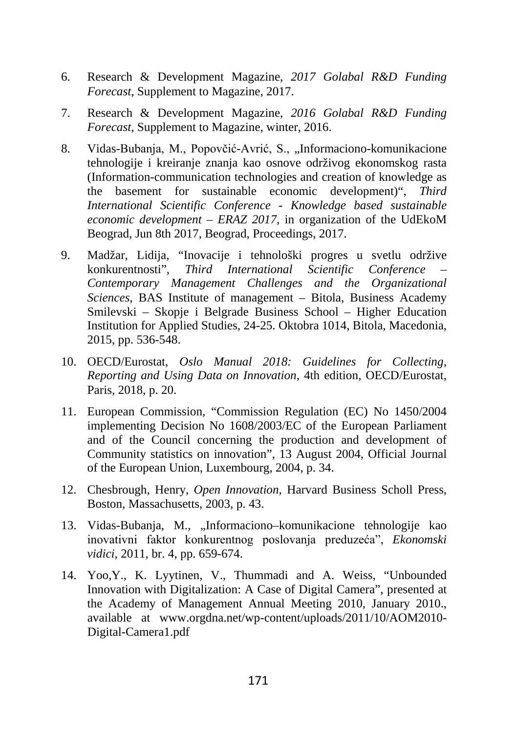- 6. Research & Development Magazine, *2017 Golabal R&D Funding Forecast*, Supplement to Magazine, 2017.
- 7. Research & Development Magazine, *2016 Golabal R&D Funding Forecast*, Supplement to Magazine, winter, 2016.
- 8. Vidas-Bubanja, M., Popovčić-Avrić, S., "Informaciono-komunikacione tehnologije i kreiranje znanja kao osnove održivog ekonomskog rasta (Information-communication technologies and creation of knowledge as the basement for sustainable economic development)", *Third International Scientific Conference - Knowledge based sustainable economic development – ERAZ 2017*, in organization of the UdEkoM Beograd, Jun 8th 2017, Beograd, Proceedings, 2017.
- 9. Madžar, Lidija, "Inovacije i tehnološki progres u svetlu održive konkurentnosti", *Third International Scientific Conference – Contemporary Management Challenges and the Organizational Sciences,* BAS Institute of management – Bitola, Business Academy Smilevski – Skopje i Belgrade Business School – Higher Education Institution for Applied Studies, 24-25. Oktobra 1014, Bitola, Macedonia, 2015, pp. 536-548.
- 10. OECD/Eurostat, *Oslo Manual 2018: Guidelines for Collecting, Reporting and Using Data on Innovation*, 4th edition, OECD/Eurostat, Paris, 2018, p. 20.
- 11. European Commission, "Commission Regulation (EC) No 1450/2004 implementing Decision No 1608/2003/EC of the European Parliament and of the Council concerning the production and development of Community statistics on innovation", 13 August 2004, Official Journal of the European Union, Luxembourg, 2004, p. 34.
- 12. Chesbrough, Henry, *Open Innovation*, Harvard Business Scholl Press, Boston, Massachusetts, 2003, p. 43.
- 13. Vidas-Bubanja, M., "Informaciono–komunikacione tehnologije kao inovativni faktor konkurentnog poslovanja preduzeća", *Ekonomski vidici*, 2011, br. 4, pp. 659-674.
- 14. Yoo,Y., K. Lyytinen, V., Thummadi and A. Weiss, "Unbounded Innovation with Digitalization: A Case of Digital Camera", presented at the Academy of Management Annual Meeting 2010, January 2010., available at www.orgdna.net/wp-content/uploads/2011/10/AOM2010- Digital-Camera1.pdf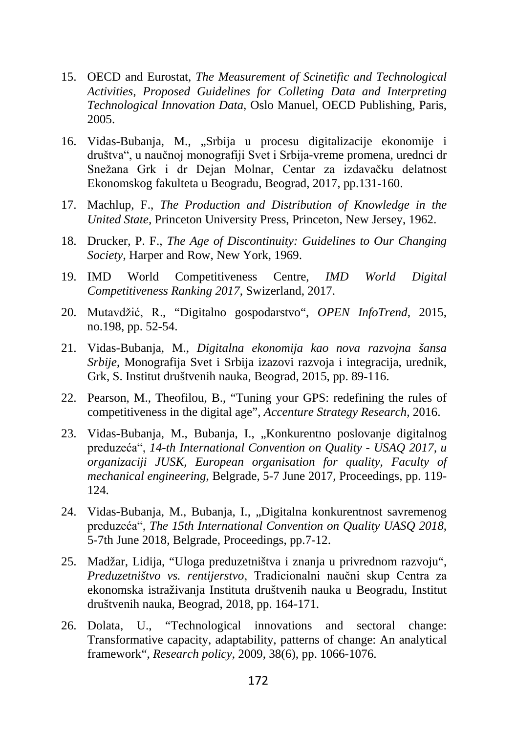- 15. OECD and Eurostat, *The Measurement of Scinetific and Technological Activities, Proposed Guidelines for Colleting Data and Interpreting Technological Innovation Data*, Oslo Manuel, OECD Publishing, Paris, 2005.
- 16. Vidas-Bubanja, M., "Srbija u procesu digitalizacije ekonomije i društva", u naučnoj monografiji Svet i Srbija-vreme promena, urednci dr Snežana Grk i dr Dejan Molnar, Centar za izdavačku delatnost Ekonomskog fakulteta u Beogradu, Beograd, 2017, pp.131-160.
- 17. Machlup, F., *The Production and Distribution of Knowledge in the United State,* Princeton University Press, Princeton, New Jersey, 1962.
- 18. Drucker, P. F., *The Age of Discontinuity: Guidelines to Our Changing Society*, Harper and Row, New York, 1969.
- 19. IMD World Competitiveness Centre, *IMD World Digital Competitiveness Ranking 2017*, Swizerland, 2017.
- 20. Mutavdžić, R., "Digitalno gospodarstvo", *OPEN InfoTrend*, 2015, no.198, pp. 52-54.
- 21. Vidas-Bubanja, M., *Digitalna ekonomija kao nova razvojna šansa Srbije*, Monografija Svet i Srbija izazovi razvoja i integracija, urednik, Grk, S. Institut društvenih nauka, Beograd, 2015, pp. 89-116.
- 22. Pearson, M., Theofilou, B., "Tuning your GPS: redefining the rules of competitiveness in the digital age", *Accenture Strategy Research*, 2016.
- 23. Vidas-Bubanja, M., Bubanja, I., "Konkurentno poslovanje digitalnog preduzeća", *14-th International Convention on Quality - USAQ 2017, u organizaciji JUSK, European organisation for quality, Faculty of mechanical engineering*, Belgrade, 5-7 June 2017, Proceedings, pp. 119- 124.
- 24. Vidas-Bubanja, M., Bubanja, I., "Digitalna konkurentnost savremenog preduzeća", *The 15th International Convention on Quality UASQ 2018*, 5-7th June 2018, Belgrade, Proceedings, pp.7-12.
- 25. Madžar, Lidija, "Uloga preduzetništva i znanja u privrednom razvoju", *Preduzetništvo vs. rentijerstvo*, Tradicionalni naučni skup Centra za ekonomska istraživanja Instituta društvenih nauka u Beogradu, Institut društvenih nauka, Beograd, 2018, pp. 164-171.
- 26. Dolata, U., "Technological innovations and sectoral change: Transformative capacity, adaptability, patterns of change: An analytical framework", *Research policy*, 2009, 38(6), pp. 1066-1076.